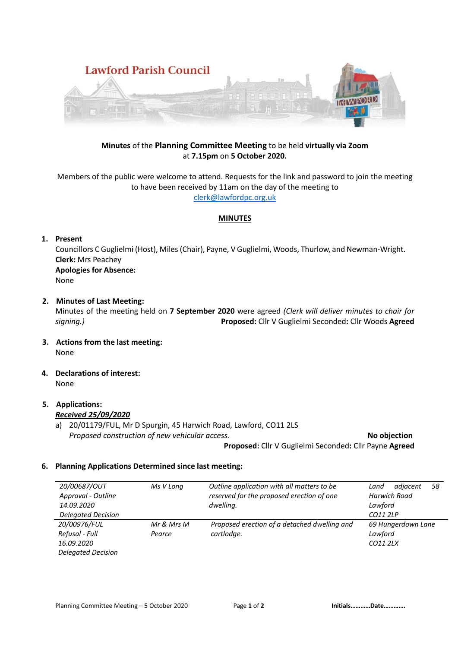

# **Minutes** of the **Planning Committee Meeting** to be held **virtually via Zoom** at **7.15pm** on **5 October 2020.**

Members of the public were welcome to attend. Requests for the link and password to join the meeting to have been received by 11am on the day of the meeting to [clerk@lawfordpc.org.uk](mailto:clerk@lawfordpc.org.uk)

#### **MINUTES**

### **1. Present**

Councillors C Guglielmi (Host), Miles(Chair), Payne, V Guglielmi, Woods, Thurlow, and Newman-Wright. **Clerk:** Mrs Peachey **Apologies for Absence:**  None

# **2. Minutes of Last Meeting:**

Minutes of the meeting held on **7 September 2020** were agreed *(Clerk will deliver minutes to chair for signing.)* **Proposed:** Cllr V Guglielmi Seconded**:** Cllr Woods **Agreed**

- **3. Actions from the last meeting:** None
- **4. Declarations of interest:** None

#### **5. Applications:** *Received 25/09/2020*

a) 20/01179/FUL, Mr D Spurgin, 45 Harwich Road, Lawford, CO11 2LS *Proposed construction of new vehicular access. No objection* 

 **Proposed:** Cllr V Guglielmi Seconded**:** Cllr Payne **Agreed**

#### **6. Planning Applications Determined since last meeting:**

| 20/00687/OUT              | Ms V Long  | Outline application with all matters to be   | adjacent<br>58<br>Land |
|---------------------------|------------|----------------------------------------------|------------------------|
| Approval - Outline        |            | reserved for the proposed erection of one    | <b>Harwich Road</b>    |
| 14.09.2020                |            | dwelling.                                    | Lawford                |
| <b>Delegated Decision</b> |            |                                              | CO11 2LP               |
| 20/00976/FUL              | Mr & Mrs M | Proposed erection of a detached dwelling and | 69 Hungerdown Lane     |
| Refusal - Full            | Pearce     | cartlodge.                                   | Lawford                |
| 16.09.2020                |            |                                              | CO11 2LX               |
| <b>Delegated Decision</b> |            |                                              |                        |